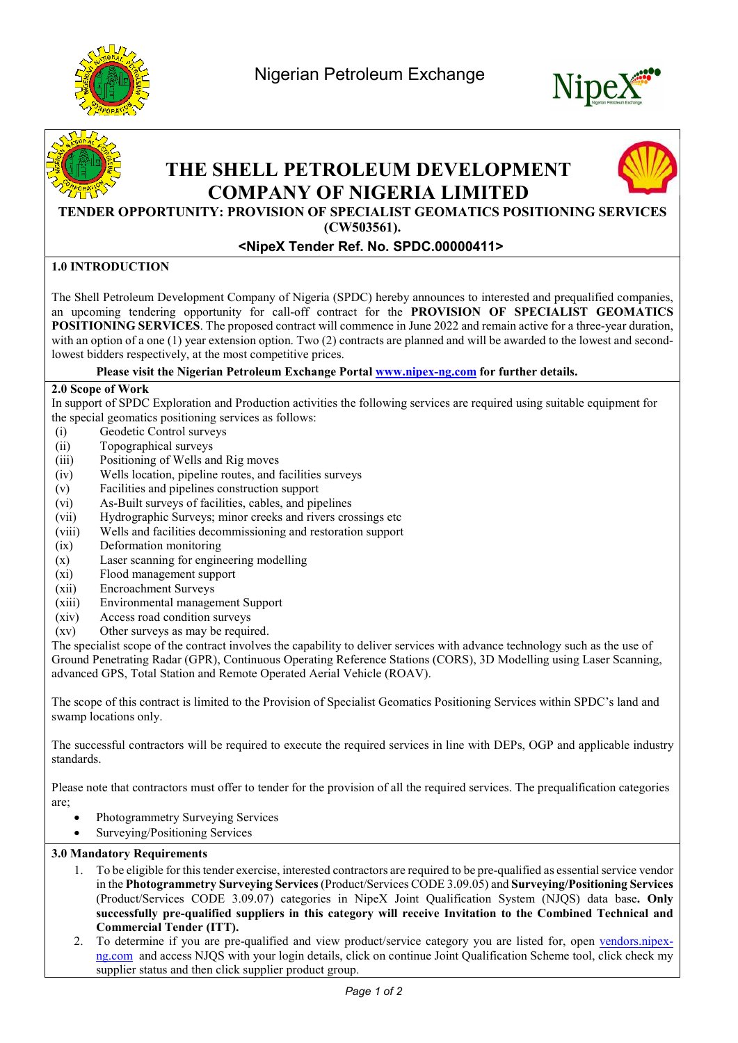





# THE SHELL PETROLEUM DEVELOPMENT COMPANY OF NIGERIA LIMITED



# TENDER OPPORTUNITY: PROVISION OF SPECIALIST GEOMATICS POSITIONING SERVICES

(CW503561).

## <NipeX Tender Ref. No. SPDC.00000411>

### 1.0 INTRODUCTION

The Shell Petroleum Development Company of Nigeria (SPDC) hereby announces to interested and prequalified companies, an upcoming tendering opportunity for call-off contract for the PROVISION OF SPECIALIST GEOMATICS POSITIONING SERVICES. The proposed contract will commence in June 2022 and remain active for a three-year duration, with an option of a one (1) year extension option. Two (2) contracts are planned and will be awarded to the lowest and secondlowest bidders respectively, at the most competitive prices.

Please visit the Nigerian Petroleum Exchange Portal www.nipex-ng.com for further details.

#### 2.0 Scope of Work

In support of SPDC Exploration and Production activities the following services are required using suitable equipment for the special geomatics positioning services as follows:

- (i) Geodetic Control surveys
- (ii) Topographical surveys
- (iii) Positioning of Wells and Rig moves
- (iv) Wells location, pipeline routes, and facilities surveys
- (v) Facilities and pipelines construction support
- (vi) As-Built surveys of facilities, cables, and pipelines
- (vii) Hydrographic Surveys; minor creeks and rivers crossings etc
- (viii) Wells and facilities decommissioning and restoration support
- (ix) Deformation monitoring
- (x) Laser scanning for engineering modelling
- (xi) Flood management support
- (xii) Encroachment Surveys
- (xiii) Environmental management Support
- (xiv) Access road condition surveys
- (xv) Other surveys as may be required.

The specialist scope of the contract involves the capability to deliver services with advance technology such as the use of Ground Penetrating Radar (GPR), Continuous Operating Reference Stations (CORS), 3D Modelling using Laser Scanning, advanced GPS, Total Station and Remote Operated Aerial Vehicle (ROAV).

The scope of this contract is limited to the Provision of Specialist Geomatics Positioning Services within SPDC's land and swamp locations only.

The successful contractors will be required to execute the required services in line with DEPs, OGP and applicable industry standards.

Please note that contractors must offer to tender for the provision of all the required services. The prequalification categories are;

- Photogrammetry Surveying Services
- Surveying/Positioning Services

#### 3.0 Mandatory Requirements

- 1. To be eligible for this tender exercise, interested contractors are required to be pre-qualified as essential service vendor in the Photogrammetry Surveying Services (Product/Services CODE 3.09.05) and Surveying/Positioning Services (Product/Services CODE 3.09.07) categories in NipeX Joint Qualification System (NJQS) data base. Only successfully pre-qualified suppliers in this category will receive Invitation to the Combined Technical and Commercial Tender (ITT).
- 2. To determine if you are pre-qualified and view product/service category you are listed for, open vendors.nipexng.com and access NJQS with your login details, click on continue Joint Qualification Scheme tool, click check my supplier status and then click supplier product group.